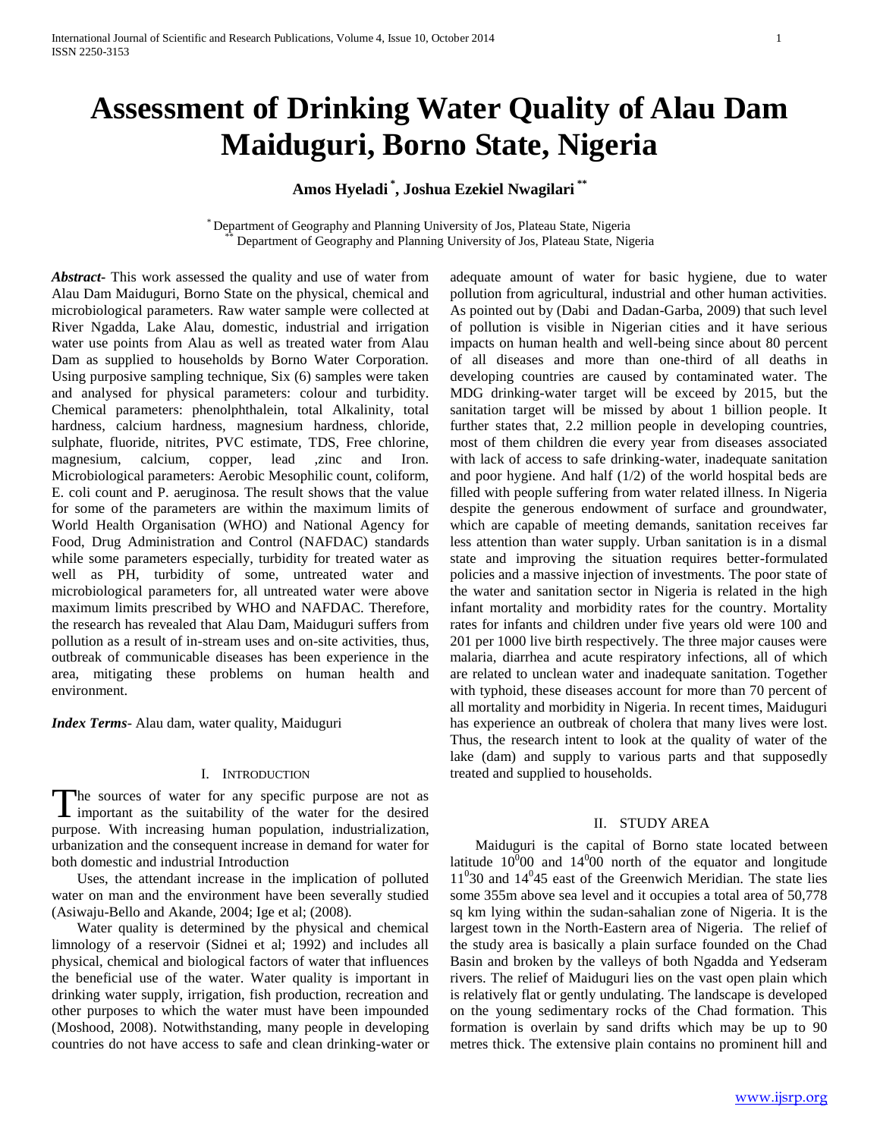# **Assessment of Drinking Water Quality of Alau Dam Maiduguri, Borno State, Nigeria**

## **Amos Hyeladi \* , Joshua Ezekiel Nwagilari \*\***

\* Department of Geography and Planning University of Jos, Plateau State, Nigeria Department of Geography and Planning University of Jos, Plateau State, Nigeria

*Abstract***-** This work assessed the quality and use of water from Alau Dam Maiduguri, Borno State on the physical, chemical and microbiological parameters. Raw water sample were collected at River Ngadda, Lake Alau, domestic, industrial and irrigation water use points from Alau as well as treated water from Alau Dam as supplied to households by Borno Water Corporation. Using purposive sampling technique, Six (6) samples were taken and analysed for physical parameters: colour and turbidity. Chemical parameters: phenolphthalein, total Alkalinity, total hardness, calcium hardness, magnesium hardness, chloride, sulphate, fluoride, nitrites, PVC estimate, TDS, Free chlorine, magnesium, calcium, copper, lead ,zinc and Iron. Microbiological parameters: Aerobic Mesophilic count, coliform, E. coli count and P. aeruginosa. The result shows that the value for some of the parameters are within the maximum limits of World Health Organisation (WHO) and National Agency for Food, Drug Administration and Control (NAFDAC) standards while some parameters especially, turbidity for treated water as well as PH, turbidity of some, untreated water and microbiological parameters for, all untreated water were above maximum limits prescribed by WHO and NAFDAC. Therefore, the research has revealed that Alau Dam, Maiduguri suffers from pollution as a result of in-stream uses and on-site activities, thus, outbreak of communicable diseases has been experience in the area, mitigating these problems on human health and environment.

*Index Terms*- Alau dam, water quality, Maiduguri

## I. INTRODUCTION

The sources of water for any specific purpose are not as The sources of water for any specific purpose are not as important as the suitability of the water for the desired purpose. With increasing human population, industrialization, urbanization and the consequent increase in demand for water for both domestic and industrial Introduction

 Uses, the attendant increase in the implication of polluted water on man and the environment have been severally studied (Asiwaju-Bello and Akande, 2004; Ige et al; (2008).

 Water quality is determined by the physical and chemical limnology of a reservoir (Sidnei et al; 1992) and includes all physical, chemical and biological factors of water that influences the beneficial use of the water. Water quality is important in drinking water supply, irrigation, fish production, recreation and other purposes to which the water must have been impounded (Moshood, 2008). Notwithstanding, many people in developing countries do not have access to safe and clean drinking-water or

adequate amount of water for basic hygiene, due to water pollution from agricultural, industrial and other human activities. As pointed out by (Dabi and Dadan-Garba, 2009) that such level of pollution is visible in Nigerian cities and it have serious impacts on human health and well-being since about 80 percent of all diseases and more than one-third of all deaths in developing countries are caused by contaminated water. The MDG drinking-water target will be exceed by 2015, but the sanitation target will be missed by about 1 billion people. It further states that, 2.2 million people in developing countries, most of them children die every year from diseases associated with lack of access to safe drinking-water, inadequate sanitation and poor hygiene. And half (1/2) of the world hospital beds are filled with people suffering from water related illness. In Nigeria despite the generous endowment of surface and groundwater, which are capable of meeting demands, sanitation receives far less attention than water supply. Urban sanitation is in a dismal state and improving the situation requires better-formulated policies and a massive injection of investments. The poor state of the water and sanitation sector in Nigeria is related in the high infant mortality and morbidity rates for the country. Mortality rates for infants and children under five years old were 100 and 201 per 1000 live birth respectively. The three major causes were malaria, diarrhea and acute respiratory infections, all of which are related to unclean water and inadequate sanitation. Together with typhoid, these diseases account for more than 70 percent of all mortality and morbidity in Nigeria. In recent times, Maiduguri has experience an outbreak of cholera that many lives were lost. Thus, the research intent to look at the quality of water of the lake (dam) and supply to various parts and that supposedly treated and supplied to households.

### II. STUDY AREA

 Maiduguri is the capital of Borno state located between latitude  $10^{0}00$  and  $14^{0}00$  north of the equator and longitude  $11<sup>0</sup>30$  and  $14<sup>0</sup>45$  east of the Greenwich Meridian. The state lies some 355m above sea level and it occupies a total area of 50,778 sq km lying within the sudan-sahalian zone of Nigeria. It is the largest town in the North-Eastern area of Nigeria. The relief of the study area is basically a plain surface founded on the Chad Basin and broken by the valleys of both Ngadda and Yedseram rivers. The relief of Maiduguri lies on the vast open plain which is relatively flat or gently undulating. The landscape is developed on the young sedimentary rocks of the Chad formation. This formation is overlain by sand drifts which may be up to 90 metres thick. The extensive plain contains no prominent hill and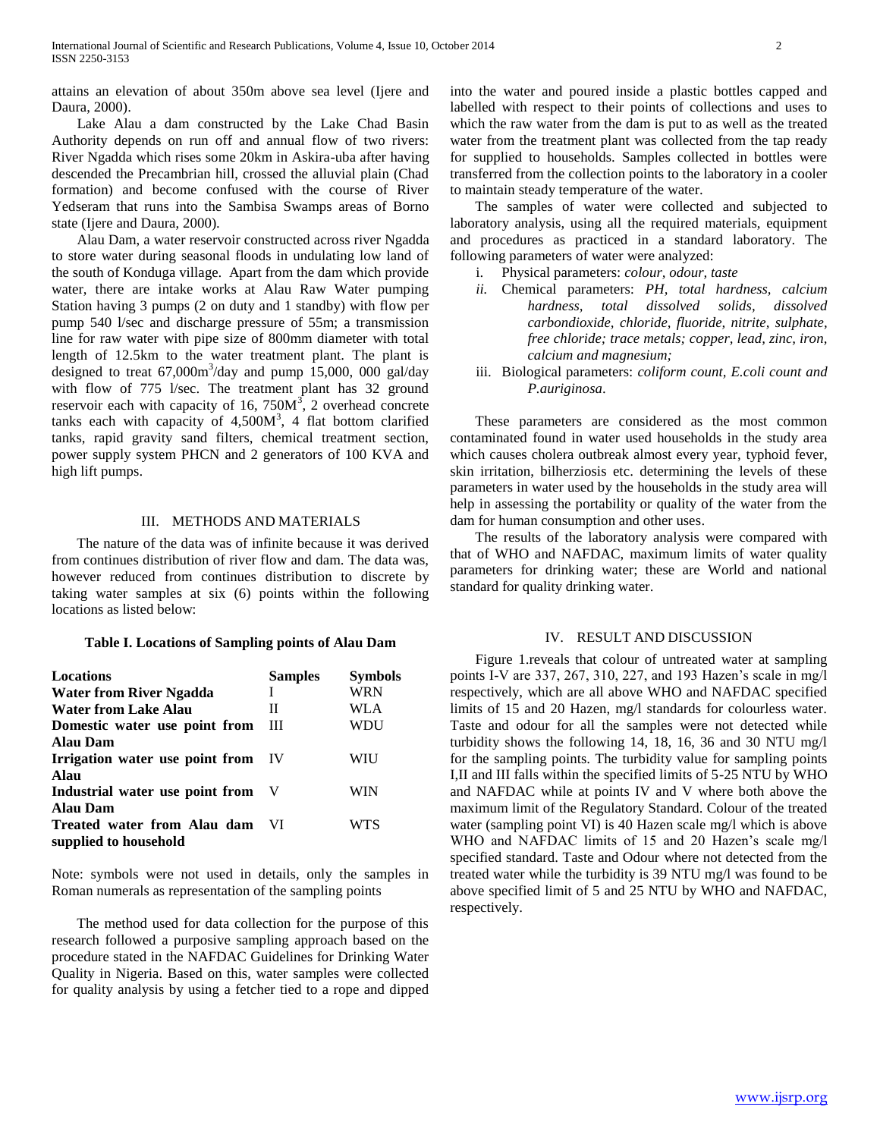attains an elevation of about 350m above sea level (Ijere and Daura, 2000).

 Lake Alau a dam constructed by the Lake Chad Basin Authority depends on run off and annual flow of two rivers: River Ngadda which rises some 20km in Askira-uba after having descended the Precambrian hill, crossed the alluvial plain (Chad formation) and become confused with the course of River Yedseram that runs into the Sambisa Swamps areas of Borno state (Ijere and Daura, 2000).

 Alau Dam, a water reservoir constructed across river Ngadda to store water during seasonal floods in undulating low land of the south of Konduga village. Apart from the dam which provide water, there are intake works at Alau Raw Water pumping Station having 3 pumps (2 on duty and 1 standby) with flow per pump 540 l/sec and discharge pressure of 55m; a transmission line for raw water with pipe size of 800mm diameter with total length of 12.5km to the water treatment plant. The plant is designed to treat  $67,000\text{m}^3/\text{day}$  and pump 15,000, 000 gal/day with flow of 775 l/sec. The treatment plant has 32 ground reservoir each with capacity of 16, 750 $M<sup>3</sup>$ , 2 overhead concrete tanks each with capacity of  $4,500M<sup>3</sup>$ , 4 flat bottom clarified tanks, rapid gravity sand filters, chemical treatment section, power supply system PHCN and 2 generators of 100 KVA and high lift pumps.

## III. METHODS AND MATERIALS

 The nature of the data was of infinite because it was derived from continues distribution of river flow and dam. The data was, however reduced from continues distribution to discrete by taking water samples at six (6) points within the following locations as listed below:

#### **Table I. Locations of Sampling points of Alau Dam**

| Locations                       | <b>Samples</b> | <b>Symbols</b> |
|---------------------------------|----------------|----------------|
| <b>Water from River Ngadda</b>  | T              | <b>WRN</b>     |
| <b>Water from Lake Alau</b>     | П              | WLA            |
| Domestic water use point from   | Ш              | WDU            |
| Alau Dam                        |                |                |
| Irrigation water use point from | - IV           | WIU            |
| Alau                            |                |                |
| Industrial water use point from |                | WIN            |
| <b>Alau Dam</b>                 |                |                |
| Treated water from Alau dam     | VI.            | WTS            |
| supplied to household           |                |                |

Note: symbols were not used in details, only the samples in Roman numerals as representation of the sampling points

 The method used for data collection for the purpose of this research followed a purposive sampling approach based on the procedure stated in the NAFDAC Guidelines for Drinking Water Quality in Nigeria. Based on this, water samples were collected for quality analysis by using a fetcher tied to a rope and dipped into the water and poured inside a plastic bottles capped and labelled with respect to their points of collections and uses to which the raw water from the dam is put to as well as the treated water from the treatment plant was collected from the tap ready for supplied to households. Samples collected in bottles were transferred from the collection points to the laboratory in a cooler to maintain steady temperature of the water.

 The samples of water were collected and subjected to laboratory analysis, using all the required materials, equipment and procedures as practiced in a standard laboratory. The following parameters of water were analyzed:

- i. Physical parameters: *colour, odour, taste*
- *ii.* Chemical parameters: *PH, total hardness, calcium hardness, total dissolved solids, dissolved carbondioxide, chloride, fluoride, nitrite, sulphate, free chloride; trace metals; copper, lead, zinc, iron, calcium and magnesium;*
- iii. Biological parameters: *coliform count, E.coli count and P.auriginosa*.

 These parameters are considered as the most common contaminated found in water used households in the study area which causes cholera outbreak almost every year, typhoid fever, skin irritation, bilherziosis etc. determining the levels of these parameters in water used by the households in the study area will help in assessing the portability or quality of the water from the dam for human consumption and other uses.

 The results of the laboratory analysis were compared with that of WHO and NAFDAC, maximum limits of water quality parameters for drinking water; these are World and national standard for quality drinking water.

#### IV. RESULT AND DISCUSSION

 Figure 1.reveals that colour of untreated water at sampling points I-V are 337, 267, 310, 227, and 193 Hazen's scale in mg/l respectively, which are all above WHO and NAFDAC specified limits of 15 and 20 Hazen, mg/l standards for colourless water. Taste and odour for all the samples were not detected while turbidity shows the following 14, 18, 16, 36 and 30 NTU mg/l for the sampling points. The turbidity value for sampling points I,II and III falls within the specified limits of 5-25 NTU by WHO and NAFDAC while at points IV and V where both above the maximum limit of the Regulatory Standard. Colour of the treated water (sampling point VI) is 40 Hazen scale mg/l which is above WHO and NAFDAC limits of 15 and 20 Hazen's scale mg/l specified standard. Taste and Odour where not detected from the treated water while the turbidity is 39 NTU mg/l was found to be above specified limit of 5 and 25 NTU by WHO and NAFDAC, respectively.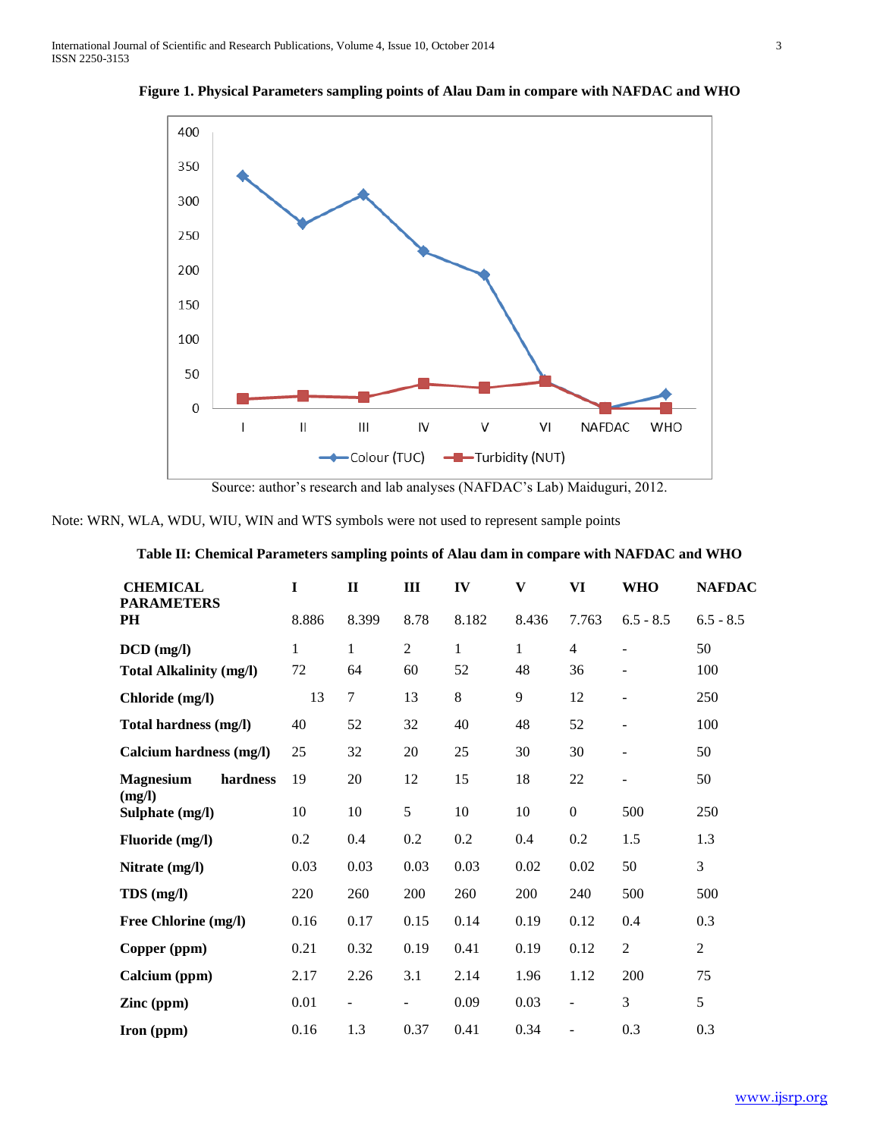

**Figure 1. Physical Parameters sampling points of Alau Dam in compare with NAFDAC and WHO**

Source: author's research and lab analyses (NAFDAC's Lab) Maiduguri, 2012.

Note: WRN, WLA, WDU, WIU, WIN and WTS symbols were not used to represent sample points

## **Table II: Chemical Parameters sampling points of Alau dam in compare with NAFDAC and WHO**

| <b>CHEMICAL</b>                        | I            | $\mathbf{I}$             | Ш              | IV           | V            | VI               | <b>WHO</b>               | <b>NAFDAC</b>  |
|----------------------------------------|--------------|--------------------------|----------------|--------------|--------------|------------------|--------------------------|----------------|
| <b>PARAMETERS</b><br><b>PH</b>         | 8.886        | 8.399                    | 8.78           | 8.182        | 8.436        | 7.763            | $6.5 - 8.5$              | $6.5 - 8.5$    |
| $DCD$ (mg/l)                           | $\mathbf{1}$ | 1                        | $\overline{2}$ | $\mathbf{1}$ | $\mathbf{1}$ | $\overline{4}$   | ÷                        | 50             |
| <b>Total Alkalinity (mg/l)</b>         | 72           | 64                       | 60             | 52           | 48           | 36               |                          | 100            |
| Chloride (mg/l)                        | 13           | $\tau$                   | 13             | 8            | 9            | 12               |                          | 250            |
| Total hardness (mg/l)                  | 40           | 52                       | 32             | 40           | 48           | 52               | $\overline{\phantom{m}}$ | 100            |
| Calcium hardness (mg/l)                | 25           | 32                       | 20             | 25           | 30           | 30               | -                        | 50             |
| <b>Magnesium</b><br>hardness<br>(mg/l) | 19           | 20                       | 12             | 15           | 18           | 22               |                          | 50             |
| Sulphate (mg/l)                        | 10           | 10                       | 5              | 10           | 10           | $\boldsymbol{0}$ | 500                      | 250            |
| Fluoride (mg/l)                        | 0.2          | 0.4                      | 0.2            | 0.2          | 0.4          | 0.2              | 1.5                      | 1.3            |
| Nitrate (mg/l)                         | 0.03         | 0.03                     | 0.03           | 0.03         | 0.02         | 0.02             | 50                       | 3              |
| TDS (mg/l)                             | 220          | 260                      | 200            | 260          | 200          | 240              | 500                      | 500            |
| Free Chlorine (mg/l)                   | 0.16         | 0.17                     | 0.15           | 0.14         | 0.19         | 0.12             | 0.4                      | 0.3            |
| Copper (ppm)                           | 0.21         | 0.32                     | 0.19           | 0.41         | 0.19         | 0.12             | $\overline{2}$           | $\overline{2}$ |
| Calcium (ppm)                          | 2.17         | 2.26                     | 3.1            | 2.14         | 1.96         | 1.12             | 200                      | 75             |
| Zinc (ppm)                             | 0.01         | $\overline{\phantom{0}}$ |                | 0.09         | 0.03         | $\blacksquare$   | 3                        | 5              |
| Iron (ppm)                             | 0.16         | 1.3                      | 0.37           | 0.41         | 0.34         | $\overline{a}$   | 0.3                      | 0.3            |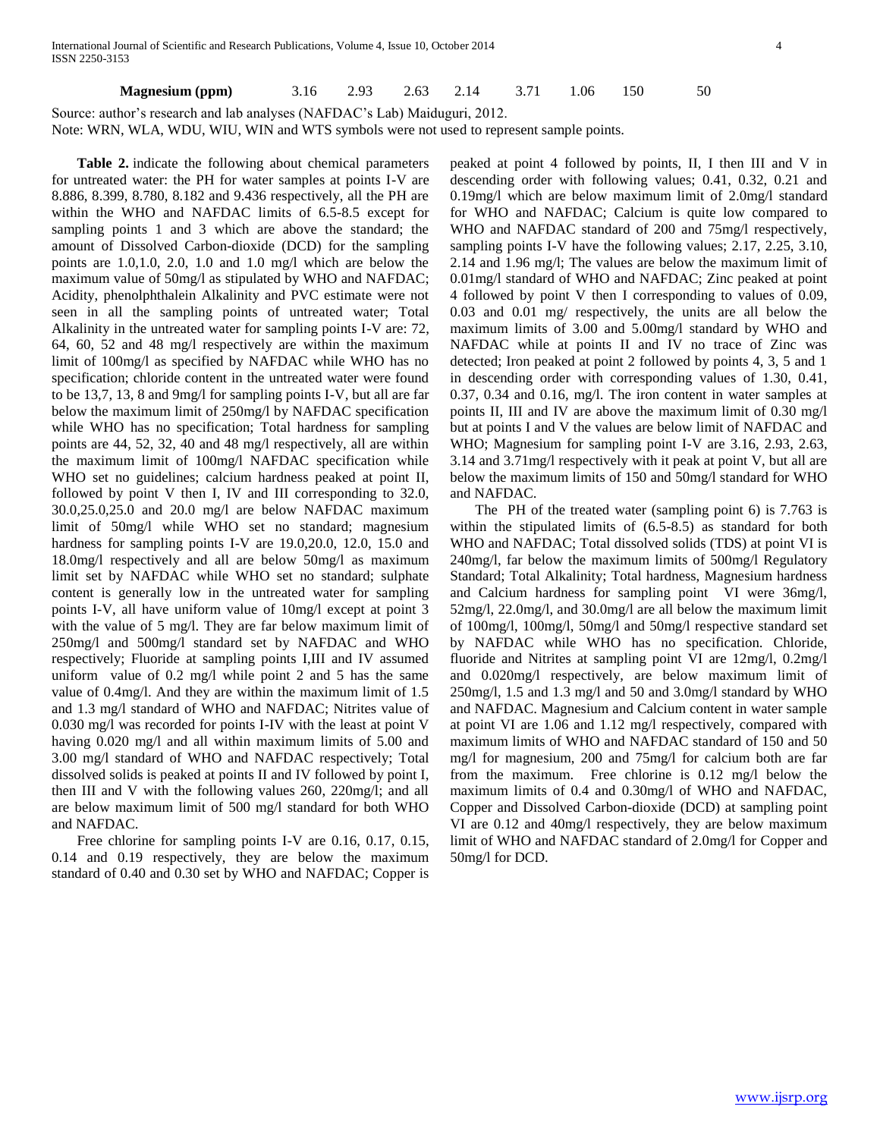## **Magnesium (ppm)** 3.16 2.93 2.63 2.14 3.71 1.06 150 50

Source: author's research and lab analyses (NAFDAC's Lab) Maiduguri, 2012.

Note: WRN, WLA, WDU, WIU, WIN and WTS symbols were not used to represent sample points.

 **Table 2.** indicate the following about chemical parameters for untreated water: the PH for water samples at points I-V are 8.886, 8.399, 8.780, 8.182 and 9.436 respectively, all the PH are within the WHO and NAFDAC limits of 6.5-8.5 except for sampling points 1 and 3 which are above the standard; the amount of Dissolved Carbon-dioxide (DCD) for the sampling points are 1.0,1.0, 2.0, 1.0 and 1.0 mg/l which are below the maximum value of 50mg/l as stipulated by WHO and NAFDAC; Acidity, phenolphthalein Alkalinity and PVC estimate were not seen in all the sampling points of untreated water; Total Alkalinity in the untreated water for sampling points I-V are: 72, 64, 60, 52 and 48 mg/l respectively are within the maximum limit of 100mg/l as specified by NAFDAC while WHO has no specification; chloride content in the untreated water were found to be 13,7, 13, 8 and 9mg/l for sampling points I-V, but all are far below the maximum limit of 250mg/l by NAFDAC specification while WHO has no specification; Total hardness for sampling points are 44, 52, 32, 40 and 48 mg/l respectively, all are within the maximum limit of 100mg/l NAFDAC specification while WHO set no guidelines; calcium hardness peaked at point II, followed by point V then I, IV and III corresponding to 32.0, 30.0,25.0,25.0 and 20.0 mg/l are below NAFDAC maximum limit of 50mg/l while WHO set no standard; magnesium hardness for sampling points I-V are 19.0,20.0, 12.0, 15.0 and 18.0mg/l respectively and all are below 50mg/l as maximum limit set by NAFDAC while WHO set no standard; sulphate content is generally low in the untreated water for sampling points I-V, all have uniform value of 10mg/l except at point 3 with the value of 5 mg/l. They are far below maximum limit of 250mg/l and 500mg/l standard set by NAFDAC and WHO respectively; Fluoride at sampling points I,III and IV assumed uniform value of 0.2 mg/l while point 2 and 5 has the same value of 0.4mg/l. And they are within the maximum limit of 1.5 and 1.3 mg/l standard of WHO and NAFDAC; Nitrites value of 0.030 mg/l was recorded for points I-IV with the least at point V having 0.020 mg/l and all within maximum limits of 5.00 and 3.00 mg/l standard of WHO and NAFDAC respectively; Total dissolved solids is peaked at points II and IV followed by point I, then III and V with the following values 260, 220mg/l; and all are below maximum limit of 500 mg/l standard for both WHO and NAFDAC.

 Free chlorine for sampling points I-V are 0.16, 0.17, 0.15, 0.14 and 0.19 respectively, they are below the maximum standard of 0.40 and 0.30 set by WHO and NAFDAC; Copper is peaked at point 4 followed by points, II, I then III and V in descending order with following values; 0.41, 0.32, 0.21 and 0.19mg/l which are below maximum limit of 2.0mg/l standard for WHO and NAFDAC; Calcium is quite low compared to WHO and NAFDAC standard of 200 and 75mg/l respectively, sampling points I-V have the following values; 2.17, 2.25, 3.10, 2.14 and 1.96 mg/l; The values are below the maximum limit of 0.01mg/l standard of WHO and NAFDAC; Zinc peaked at point 4 followed by point V then I corresponding to values of 0.09, 0.03 and 0.01 mg/ respectively, the units are all below the maximum limits of 3.00 and 5.00mg/l standard by WHO and NAFDAC while at points II and IV no trace of Zinc was detected; Iron peaked at point 2 followed by points 4, 3, 5 and 1 in descending order with corresponding values of 1.30, 0.41, 0.37, 0.34 and 0.16, mg/l. The iron content in water samples at points II, III and IV are above the maximum limit of 0.30 mg/l but at points I and V the values are below limit of NAFDAC and WHO; Magnesium for sampling point I-V are 3.16, 2.93, 2.63, 3.14 and 3.71mg/l respectively with it peak at point V, but all are below the maximum limits of 150 and 50mg/l standard for WHO and NAFDAC.

 The PH of the treated water (sampling point 6) is 7.763 is within the stipulated limits of (6.5-8.5) as standard for both WHO and NAFDAC; Total dissolved solids (TDS) at point VI is 240mg/l, far below the maximum limits of 500mg/l Regulatory Standard; Total Alkalinity; Total hardness, Magnesium hardness and Calcium hardness for sampling point VI were 36mg/l, 52mg/l, 22.0mg/l, and 30.0mg/l are all below the maximum limit of 100mg/l, 100mg/l, 50mg/l and 50mg/l respective standard set by NAFDAC while WHO has no specification. Chloride, fluoride and Nitrites at sampling point VI are 12mg/l, 0.2mg/l and 0.020mg/l respectively, are below maximum limit of 250mg/l, 1.5 and 1.3 mg/l and 50 and 3.0mg/l standard by WHO and NAFDAC. Magnesium and Calcium content in water sample at point VI are 1.06 and 1.12 mg/l respectively, compared with maximum limits of WHO and NAFDAC standard of 150 and 50 mg/l for magnesium, 200 and 75mg/l for calcium both are far from the maximum. Free chlorine is 0.12 mg/l below the maximum limits of 0.4 and 0.30mg/l of WHO and NAFDAC, Copper and Dissolved Carbon-dioxide (DCD) at sampling point VI are 0.12 and 40mg/l respectively, they are below maximum limit of WHO and NAFDAC standard of 2.0mg/l for Copper and 50mg/l for DCD.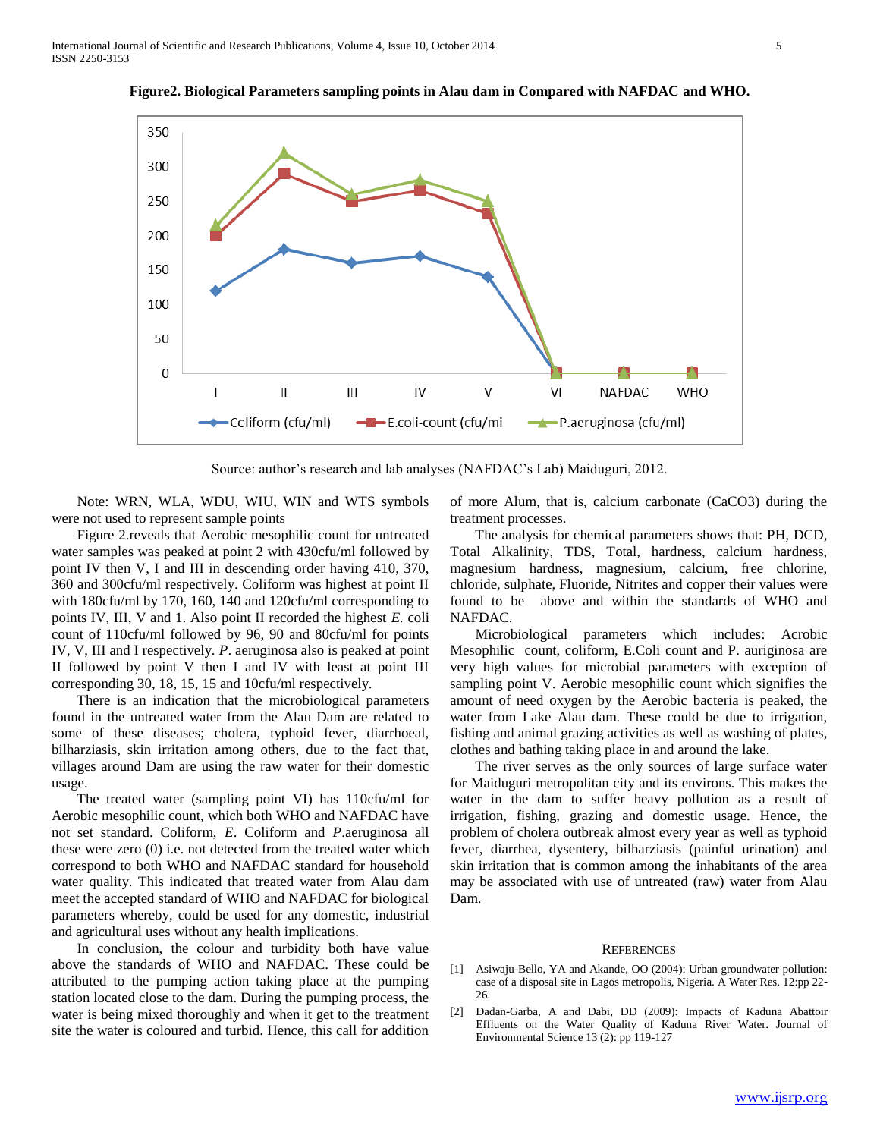

**Figure2. Biological Parameters sampling points in Alau dam in Compared with NAFDAC and WHO.**

Source: author's research and lab analyses (NAFDAC's Lab) Maiduguri, 2012.

 Note: WRN, WLA, WDU, WIU, WIN and WTS symbols were not used to represent sample points

 Figure 2.reveals that Aerobic mesophilic count for untreated water samples was peaked at point 2 with 430cfu/ml followed by point IV then V, I and III in descending order having 410, 370, 360 and 300cfu/ml respectively. Coliform was highest at point II with 180cfu/ml by 170, 160, 140 and 120cfu/ml corresponding to points IV, III, V and 1. Also point II recorded the highest *E.* coli count of 110cfu/ml followed by 96, 90 and 80cfu/ml for points IV, V, III and I respectively. *P*. aeruginosa also is peaked at point II followed by point V then I and IV with least at point III corresponding 30, 18, 15, 15 and 10cfu/ml respectively.

 There is an indication that the microbiological parameters found in the untreated water from the Alau Dam are related to some of these diseases; cholera, typhoid fever, diarrhoeal, bilharziasis, skin irritation among others, due to the fact that, villages around Dam are using the raw water for their domestic usage.

 The treated water (sampling point VI) has 110cfu/ml for Aerobic mesophilic count, which both WHO and NAFDAC have not set standard. Coliform, *E*. Coliform and *P*.aeruginosa all these were zero (0) i.e. not detected from the treated water which correspond to both WHO and NAFDAC standard for household water quality. This indicated that treated water from Alau dam meet the accepted standard of WHO and NAFDAC for biological parameters whereby, could be used for any domestic, industrial and agricultural uses without any health implications.

 In conclusion, the colour and turbidity both have value above the standards of WHO and NAFDAC. These could be attributed to the pumping action taking place at the pumping station located close to the dam. During the pumping process, the water is being mixed thoroughly and when it get to the treatment site the water is coloured and turbid. Hence, this call for addition of more Alum, that is, calcium carbonate (CaCO3) during the treatment processes.

 The analysis for chemical parameters shows that: PH, DCD, Total Alkalinity, TDS, Total, hardness, calcium hardness, magnesium hardness, magnesium, calcium, free chlorine, chloride, sulphate, Fluoride, Nitrites and copper their values were found to be above and within the standards of WHO and NAFDAC.

 Microbiological parameters which includes: Acrobic Mesophilic count, coliform, E.Coli count and P. auriginosa are very high values for microbial parameters with exception of sampling point V. Aerobic mesophilic count which signifies the amount of need oxygen by the Aerobic bacteria is peaked, the water from Lake Alau dam. These could be due to irrigation, fishing and animal grazing activities as well as washing of plates, clothes and bathing taking place in and around the lake.

 The river serves as the only sources of large surface water for Maiduguri metropolitan city and its environs. This makes the water in the dam to suffer heavy pollution as a result of irrigation, fishing, grazing and domestic usage. Hence, the problem of cholera outbreak almost every year as well as typhoid fever, diarrhea, dysentery, bilharziasis (painful urination) and skin irritation that is common among the inhabitants of the area may be associated with use of untreated (raw) water from Alau Dam.

#### **REFERENCES**

- [1] Asiwaju-Bello, YA and Akande, OO (2004): Urban groundwater pollution: case of a disposal site in Lagos metropolis, Nigeria. A Water Res. 12:pp 22- 26.
- [2] Dadan-Garba, A and Dabi, DD (2009): Impacts of Kaduna Abattoir Effluents on the Water Quality of Kaduna River Water. Journal of Environmental Science 13 (2): pp 119-127